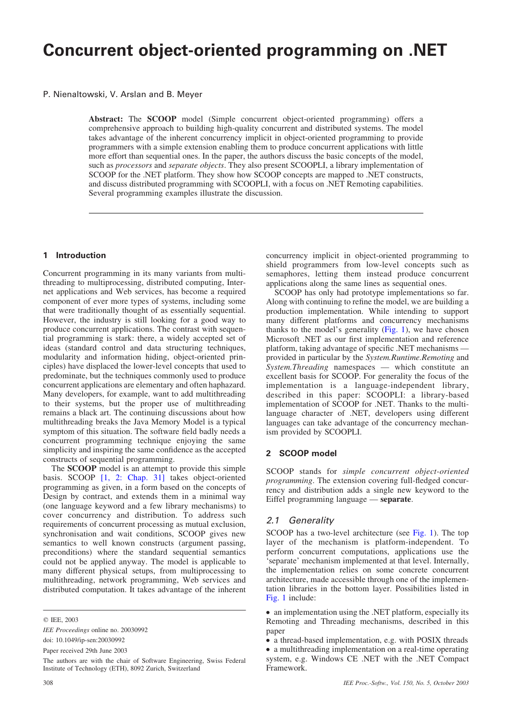# Concurrent object-oriented programming on .NET

#### P. Nienaltowski, V. Arslan and B. Meyer

Abstract: The SCOOP model (Simple concurrent object-oriented programming) offers a comprehensive approach to building high-quality concurrent and distributed systems. The model takes advantage of the inherent concurrency implicit in object-oriented programming to provide programmers with a simple extension enabling them to produce concurrent applications with little more effort than sequential ones. In the paper, the authors discuss the basic concepts of the model, such as *processors* and *separate objects*. They also present SCOOPLI, a library implementation of SCOOP for the .NET platform. They show how SCOOP concepts are mapped to .NET constructs, and discuss distributed programming with SCOOPLI, with a focus on .NET Remoting capabilities. Several programming examples illustrate the discussion.

#### 1 Introduction

Concurrent programming in its many variants from multithreading to multiprocessing, distributed computing, Internet applications and Web services, has become a required component of ever more types of systems, including some that were traditionally thought of as essentially sequential. However, the industry is still looking for a good way to produce concurrent applications. The contrast with sequential programming is stark: there, a widely accepted set of ideas (standard control and data structuring techniques, modularity and information hiding, object-oriented principles) have displaced the lower-level concepts that used to predominate, but the techniques commonly used to produce concurrent applications are elementary and often haphazard. Many developers, for example, want to add multithreading to their systems, but the proper use of multithreading remains a black art. The continuing discussions about how multithreading breaks the Java Memory Model is a typical symptom of this situation. The software field badly needs a concurrent programming technique enjoying the same simplicity and inspiring the same confidence as the accepted constructs of sequential programming.

The **SCOOP** model is an attempt to provide this simple basis. SCOOP [\[1, 2: Chap. 31\]](#page-6-0) takes object-oriented programming as given, in a form based on the concepts of Design by contract, and extends them in a minimal way (one language keyword and a few library mechanisms) to cover concurrency and distribution. To address such requirements of concurrent processing as mutual exclusion, synchronisation and wait conditions, SCOOP gives new semantics to well known constructs (argument passing, preconditions) where the standard sequential semantics could not be applied anyway. The model is applicable to many different physical setups, from multiprocessing to multithreading, network programming, Web services and distributed computation. It takes advantage of the inherent concurrency implicit in object-oriented programming to shield programmers from low-level concepts such as semaphores, letting them instead produce concurrent applications along the same lines as sequential ones.

SCOOP has only had prototype implementations so far. Along with continuing to refine the model, we are building a production implementation. While intending to support many different platforms and concurrency mechanisms thanks to the model's generality  $(Fig, 1)$ , we have chosen Microsoft .NET as our first implementation and reference platform, taking advantage of specific .NET mechanisms provided in particular by the System.Runtime.Remoting and System.Threading namespaces — which constitute an excellent basis for SCOOP. For generality the focus of the implementation is a language-independent library, described in this paper: SCOOPLI: a library-based implementation of SCOOP for .NET. Thanks to the multilanguage character of .NET, developers using different languages can take advantage of the concurrency mechanism provided by SCOOPLI.

#### 2 SCOOP model

SCOOP stands for simple concurrent object-oriented programming. The extension covering full-fledged concurrency and distribution adds a single new keyword to the Eiffel programming language — separate.

## 2.1 Generality

SCOOP has a two-level architecture (see [Fig. 1](#page-1-0)). The top layer of the mechanism is platform-independent. To perform concurrent computations, applications use the 'separate' mechanism implemented at that level. Internally, the implementation relies on some concrete concurrent architecture, made accessible through one of the implementation libraries in the bottom layer. Possibilities listed in [Fig. 1](#page-1-0) include:

<sup>©</sup> IEE, 2003

IEE Proceedings online no. 20030992

doi: 10.1049/ip-sen:20030992

Paper received 29th June 2003

The authors are with the chair of Software Engineering, Swiss Federal Institute of Technology (ETH), 8092 Zurich, Switzerland

<sup>.</sup> an implementation using the .NET platform, especially its Remoting and Threading mechanisms, described in this paper

<sup>.</sup> a thread-based implementation, e.g. with POSIX threads

<sup>.</sup> a multithreading implementation on a real-time operating system, e.g. Windows CE .NET with the .NET Compact Framework.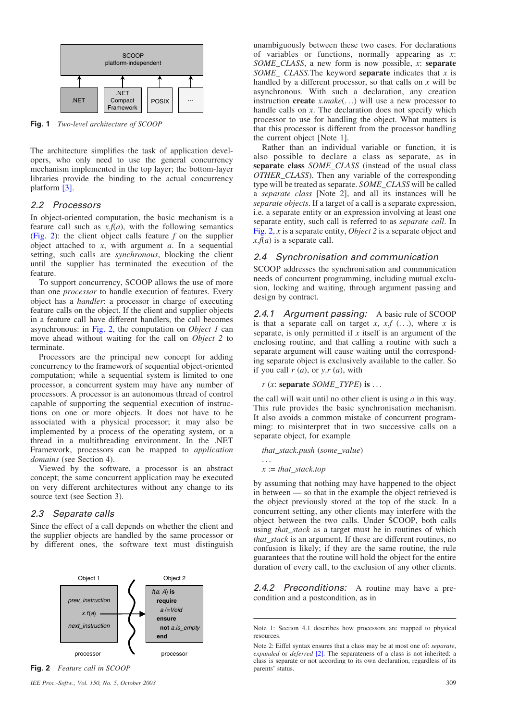<span id="page-1-0"></span>

Fig. 1 Two-level architecture of SCOOP

The architecture simplifies the task of application developers, who only need to use the general concurrency mechanism implemented in the top layer; the bottom-layer libraries provide the binding to the actual concurrency platform [\[3\]](#page-6-0).

#### 2.2 Processors

In object-oriented computation, the basic mechanism is a feature call such as  $x \cdot f(a)$ , with the following semantics (Fig. 2): the client object calls feature  $f$  on the supplier object attached to  $x$ , with argument  $\alpha$ . In a sequential setting, such calls are synchronous, blocking the client until the supplier has terminated the execution of the feature.

To support concurrency, SCOOP allows the use of more than one processor to handle execution of features. Every object has a handler: a processor in charge of executing feature calls on the object. If the client and supplier objects in a feature call have different handlers, the call becomes asynchronous: in Fig. 2, the computation on *Object 1* can move ahead without waiting for the call on Object 2 to terminate.

Processors are the principal new concept for adding concurrency to the framework of sequential object-oriented computation; while a sequential system is limited to one processor, a concurrent system may have any number of processors. A processor is an autonomous thread of control capable of supporting the sequential execution of instructions on one or more objects. It does not have to be associated with a physical processor; it may also be implemented by a process of the operating system, or a thread in a multithreading environment. In the .NET Framework, processors can be mapped to application domains (see Section 4).

Viewed by the software, a processor is an abstract concept; the same concurrent application may be executed on very different architectures without any change to its source text (see Section 3).

#### 2.3 Separate calls

Since the effect of a call depends on whether the client and the supplier objects are handled by the same processor or by different ones, the software text must distinguish



Fig. 2 Feature call in SCOOP

unambiguously between these two cases. For declarations of variables or functions, normally appearing as  $x$ : SOME CLASS, a new form is now possible,  $x$ : separate SOME CLASS. The keyword separate indicates that x is handled by a different processor, so that calls on  $x$  will be asynchronous. With such a declaration, any creation instruction **create**  $x$ .*make*(...) will use a new processor to handle calls on x. The declaration does not specify which processor to use for handling the object. What matters is that this processor is different from the processor handling the current object [Note 1].

Rather than an individual variable or function, it is also possible to declare a class as separate, as in separate class SOME\_CLASS (instead of the usual class OTHER\_CLASS). Then any variable of the corresponding type will be treated as separate. SOME\_CLASS will be called a separate class [Note 2], and all its instances will be separate objects. If a target of a call is a separate expression, i.e. a separate entity or an expression involving at least one separate entity, such call is referred to as separate call. In Fig. 2, x is a separate entity, Object 2 is a separate object and  $x.f(a)$  is a separate call.

#### 2.4 Synchronisation and communication

SCOOP addresses the synchronisation and communication needs of concurrent programming, including mutual exclusion, locking and waiting, through argument passing and design by contract.

2.4.1 Argument passing: A basic rule of SCOOP is that a separate call on target x,  $x.f$  (...), where x is separate, is only permitted if  $x$  itself is an argument of the enclosing routine, and that calling a routine with such a separate argument will cause waiting until the corresponding separate object is exclusively available to the caller. So if you call  $r(a)$ , or y.  $r(a)$ , with

 $r$  (x: separate SOME\_TYPE) is ...

the call will wait until no other client is using  $a$  in this way. This rule provides the basic synchronisation mechanism. It also avoids a common mistake of concurrent programming: to misinterpret that in two successive calls on a separate object, for example

#### that\_stack.push (some\_value)

...  $x := that$  stack.top

by assuming that nothing may have happened to the object in between — so that in the example the object retrieved is the object previously stored at the top of the stack. In a concurrent setting, any other clients may interfere with the object between the two calls. Under SCOOP, both calls using that\_stack as a target must be in routines of which that\_stack is an argument. If these are different routines, no confusion is likely; if they are the same routine, the rule guarantees that the routine will hold the object for the entire duration of every call, to the exclusion of any other clients.

2.4.2 Preconditions: A routine may have a precondition and a postcondition, as in

Note 1: Section 4.1 describes how processors are mapped to physical resources.

Note 2: Eiffel syntax ensures that a class may be at most one of: separate, expanded or deferred [\[2\]](#page-6-0). The separateness of a class is not inherited: a class is separate or not according to its own declaration, regardless of its parents' status.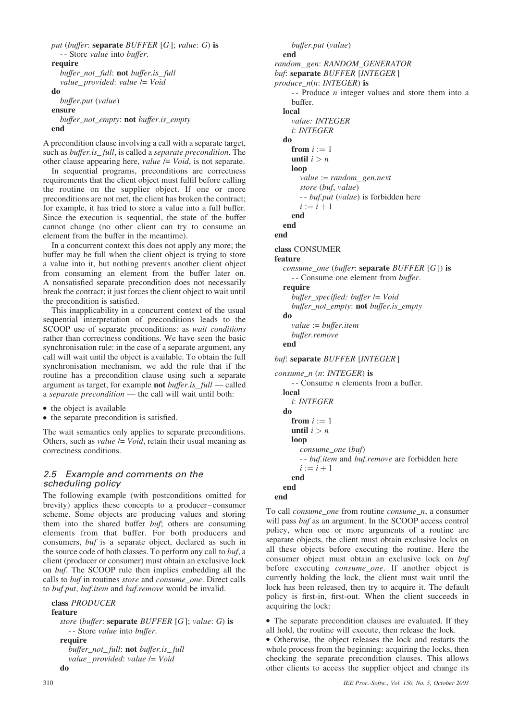```
put (buffer: separate BUFFER[G]; value: G) is
  -- Store value into buffer.
require
  buffer_not_full: not buffer.is_full
  value_ provided: value /= Void
do
  buffer.put (value)
ensure
  buffer_not_empty: not buffer.is_empty
end
```
A precondition clause involving a call with a separate target, such as buffer.is\_full, is called a separate precondition. The other clause appearing here, *value*  $/=$  *Void*, is not separate.

In sequential programs, preconditions are correctness requirements that the client object must fulfil before calling the routine on the supplier object. If one or more preconditions are not met, the client has broken the contract; for example, it has tried to store a value into a full buffer. Since the execution is sequential, the state of the buffer cannot change (no other client can try to consume an element from the buffer in the meantime).

In a concurrent context this does not apply any more; the buffer may be full when the client object is trying to store a value into it, but nothing prevents another client object from consuming an element from the buffer later on. A nonsatisfied separate precondition does not necessarily break the contract; it just forces the client object to wait until the precondition is satisfied.

This inapplicability in a concurrent context of the usual sequential interpretation of preconditions leads to the SCOOP use of separate preconditions: as *wait conditions* rather than correctness conditions. We have seen the basic synchronisation rule: in the case of a separate argument, any call will wait until the object is available. To obtain the full synchronisation mechanism, we add the rule that if the routine has a precondition clause using such a separate argument as target, for example **not** buffer.is\_full — called a separate precondition — the call will wait until both:

• the object is available

. the separate precondition is satisfied.

The wait semantics only applies to separate preconditions. Others, such as *value*  $=$  *Void*, retain their usual meaning as correctness conditions.

## 2.5 Example and comments on the scheduling policy

```
The following example (with postconditions omitted for
brevity) applies these concepts to a producer–consumer
scheme. Some objects are producing values and storing
them into the shared buffer buf; others are consuming
elements from that buffer. For both producers and
consumers, buf is a separate object, declared as such in
the source code of both classes. To perform any call to buf, a
client (producer or consumer) must obtain an exclusive lock
on buf. The SCOOP rule then implies embedding all the
calls to buf in routines store and consume_one. Direct calls
to buf.put, buf.item and buf.remove would be invalid.
```

```
class PRODUCER
feature
  store (buffer: separate BUFFER [G]; value: G) is
    -- Store value into buffer.
  require
    buffer_not_full: not buffer.is_full
    value_ provided: value /= Void
  do
```

```
buffer.put (value)
  end
random_ gen: RANDOM_GENERATOR
buf: separate BUFFER [INTEGER]
produce_n(n: INTEGR) is
    - - Produce n integer values and store them into a
    buffer.
  local
    value: INTEGER
    i: INTEGER
  do
    from i := 1until i > nloop
      value := random_ gen.next
      store (buf, value)
      - - buf.put (value) is forbidden here
      i := i + 1end
  end
end
class CONSUMER
feature
  consume_one (buffer: separate BUFFER [G]) is
    -- Consume one element from buffer.
  require
    buffer_specified: buffer /= Void
    buffer_not_empty: not buffer.is_empty
  do
    value := buffer.item
    buffer.remove
  end
buf: separate BUFFER [INTEGER]
consume_n (n: INTEGER) is
    -- Consume n elements from a buffer.
  local
    i: INTEGER
  do
    from i := 1until i > nloop
      consume_one (buf)
       -- buf.item and buf.remove are forbidden here
      i := i + 1end
```
end end

To call *consume\_one* from routine *consume\_n*, a consumer will pass *buf* as an argument. In the SCOOP access control policy, when one or more arguments of a routine are separate objects, the client must obtain exclusive locks on all these objects before executing the routine. Here the consumer object must obtain an exclusive lock on buf before executing consume\_one. If another object is currently holding the lock, the client must wait until the lock has been released, then try to acquire it. The default policy is first-in, first-out. When the client succeeds in acquiring the lock:

. The separate precondition clauses are evaluated. If they all hold, the routine will execute, then release the lock.

. Otherwise, the object releases the lock and restarts the whole process from the beginning: acquiring the locks, then checking the separate precondition clauses. This allows other clients to access the supplier object and change its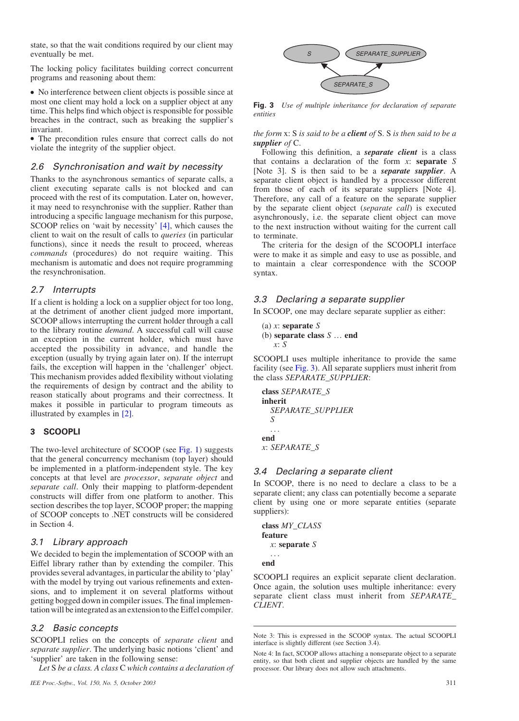state, so that the wait conditions required by our client may eventually be met.

The locking policy facilitates building correct concurrent programs and reasoning about them:

. No interference between client objects is possible since at most one client may hold a lock on a supplier object at any time. This helps find which object is responsible for possible breaches in the contract, such as breaking the supplier's invariant.

. The precondition rules ensure that correct calls do not violate the integrity of the supplier object.

# 2.6 Synchronisation and wait by necessity

Thanks to the asynchronous semantics of separate calls, a client executing separate calls is not blocked and can proceed with the rest of its computation. Later on, however, it may need to resynchronise with the supplier. Rather than introducing a specific language mechanism for this purpose, SCOOP relies on 'wait by necessity' [\[4\]](#page-6-0), which causes the client to wait on the result of calls to queries (in particular functions), since it needs the result to proceed, whereas commands (procedures) do not require waiting. This mechanism is automatic and does not require programming the resynchronisation.

## 2.7 Interrupts

If a client is holding a lock on a supplier object for too long, at the detriment of another client judged more important, SCOOP allows interrupting the current holder through a call to the library routine demand. A successful call will cause an exception in the current holder, which must have accepted the possibility in advance, and handle the exception (usually by trying again later on). If the interrupt fails, the exception will happen in the 'challenger' object. This mechanism provides added flexibility without violating the requirements of design by contract and the ability to reason statically about programs and their correctness. It makes it possible in particular to program timeouts as illustrated by examples in [\[2\]](#page-6-0).

## 3 SCOOPLI

The two-level architecture of SCOOP (see [Fig. 1\)](#page-1-0) suggests that the general concurrency mechanism (top layer) should be implemented in a platform-independent style. The key concepts at that level are processor, separate object and separate call. Only their mapping to platform-dependent constructs will differ from one platform to another. This section describes the top layer, SCOOP proper; the mapping of SCOOP concepts to .NET constructs will be considered in Section 4.

## 3.1 Library approach

We decided to begin the implementation of SCOOP with an Eiffel library rather than by extending the compiler. This provides several advantages, in particular the ability to 'play' with the model by trying out various refinements and extensions, and to implement it on several platforms without getting bogged down in compiler issues. The final implementation will be integrated as an extension to the Eiffel compiler.

## 3.2 Basic concepts

SCOOPLI relies on the concepts of separate client and separate supplier. The underlying basic notions 'client' and 'supplier' are taken in the following sense:

Let S be a class. A class C which contains a declaration of



Fig. 3 Use of multiple inheritance for declaration of separate entities

the form  $x: S$  is said to be a **client** of  $S$ .  $S$  is then said to be a supplier of C.

Following this definition, a **separate client** is a class that contains a declaration of the form  $x$ : separate S [Note 3]. S is then said to be a *separate supplier*. A separate client object is handled by a processor different from those of each of its separate suppliers [Note 4]. Therefore, any call of a feature on the separate supplier by the separate client object (separate call) is executed asynchronously, i.e. the separate client object can move to the next instruction without waiting for the current call to terminate.

The criteria for the design of the SCOOPLI interface were to make it as simple and easy to use as possible, and to maintain a clear correspondence with the SCOOP syntax.

# 3.3 Declaring a separate supplier

In SCOOP, one may declare separate supplier as either:

```
(a) x: separate S(b) separate class S … end
   x: S
```
SCOOPLI uses multiple inheritance to provide the same facility (see Fig. 3). All separate suppliers must inherit from the class SEPARATE\_SUPPLIER:

```
class SEPARATE_S
inherit
  SEPARATE_SUPPLIER
  S
  ...
end
x: SEPARATE_S
```
## 3.4 Declaring a separate client

In SCOOP, there is no need to declare a class to be a separate client; any class can potentially become a separate client by using one or more separate entities (separate suppliers):

```
class MY_CLASS
feature
  x: separate S...
end
```
SCOOPLI requires an explicit separate client declaration. Once again, the solution uses multiple inheritance: every separate client class must inherit from SEPARATE\_ CLIENT.

Note 3: This is expressed in the SCOOP syntax. The actual SCOOPLI interface is slightly different (see Section 3.4).

Note 4: In fact, SCOOP allows attaching a nonseparate object to a separate entity, so that both client and supplier objects are handled by the same processor. Our library does not allow such attachments.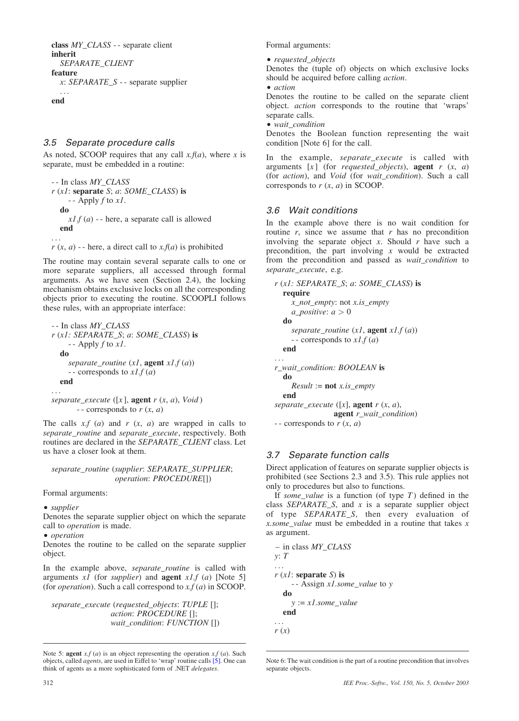```
class MY\_CLASS - - separate client
inherit
  SEPARATE_CLIENT
feature
  x: SEPARATE_S - - separate supplier
  ...
end
```
# 3.5 Separate procedure calls

As noted, SCOOP requires that any call  $x.f(a)$ , where x is separate, must be embedded in a routine:

-- In class MY\_CLASS  $r(x)$ : separate S; a: SOME\_CLASS) is - - Apply  $f$  to  $xI$ . do  $x1.f(a)$  -- here, a separate call is allowed end ...

 $r(x, a)$  -- here, a direct call to  $x.f(a)$  is prohibited

The routine may contain several separate calls to one or more separate suppliers, all accessed through formal arguments. As we have seen (Section 2.4), the locking mechanism obtains exclusive locks on all the corresponding objects prior to executing the routine. SCOOPLI follows these rules, with an appropriate interface:

-- In class MY\_CLASS r (x1: SEPARATE\_S; a: SOME\_CLASS) is - - Apply  $f$  to  $xI$ . do separate\_routine  $(x1, \text{agent } x1.f(a))$ -- corresponds to  $x1.f(a)$ end ...

*separate execute* ([
$$
x
$$
], **agent**  $r$  ( $x$ ,  $a$ ),  $Void$ )  
-- corresponds to  $r$  ( $x$ ,  $a$ )

The calls  $xf(a)$  and  $r(x, a)$  are wrapped in calls to separate\_routine and separate\_execute, respectively. Both routines are declared in the SEPARATE\_CLIENT class. Let us have a closer look at them.

separate\_routine (supplier: SEPARATE\_SUPPLIER; operation: PROCEDURE[])

Formal arguments:

 $\bullet$  supplier

Denotes the separate supplier object on which the separate call to operation is made.

• operation

Denotes the routine to be called on the separate supplier object.

In the example above, *separate\_routine* is called with arguments  $xI$  (for *supplier*) and **agent**  $xI.f$  (*a*) [Note 5] (for *operation*). Such a call correspond to  $x.f(a)$  in SCOOP.

separate\_execute (requested\_objects: TUPLE []; action: PROCEDURE []; wait\_condition: FUNCTION []) Formal arguments:

• requested\_objects

Denotes the (tuple of) objects on which exclusive locks should be acquired before calling action.

 $\bullet$  action

Denotes the routine to be called on the separate client object. action corresponds to the routine that 'wraps' separate calls.

• wait\_condition

Denotes the Boolean function representing the wait condition [Note 6] for the call.

In the example, *separate\_execute* is called with arguments  $[x]$  (for *requested\_objects*), **agent**  $r(x, a)$ (for action), and Void (for wait\_condition). Such a call corresponds to  $r(x, a)$  in SCOOP.

# 3.6 Wait conditions

In the example above there is no wait condition for routine  $r$ , since we assume that  $r$  has no precondition involving the separate object x. Should  $r$  have such a precondition, the part involving  $x$  would be extracted from the precondition and passed as wait\_condition to separate\_execute, e.g.

```
r(x): SEPARATE_S; a: SOME_CLASS) is
  require
    x not empty: not x.is empty
    a_positive: a > 0do
    separate_routine (x,1), agent x \cdot f(a)-- corresponds to x1.f(a)end
...
r_wait_condition: BOOLEAN is
  do
    Result := not x.is\_emptyend
separate_execute ([x], agent r(x, a),
                agent r_wait_condition)
-- corresponds to r(x, a)
```
# 3.7 Separate function calls

Direct application of features on separate supplier objects is prohibited (see Sections 2.3 and 3.5). This rule applies not only to procedures but also to functions.

If some\_value is a function (of type  $T$ ) defined in the class  $SEPARATE_S$ , and  $x$  is a separate supplier object of type *SEPARATE* S, then every evaluation of x.some\_value must be embedded in a routine that takes  $x$ as argument.

– in class MY\_CLASS  $y: T$ ...  $r(x)$ : separate S) is -- Assign x1.some\_value to y do  $y := x1$ .some\_value end ...  $r(x)$ 

Note 5: **agent**  $xf(a)$  is an object representing the operation  $xf(a)$ . Such objects, called agents, are used in Eiffel to 'wrap' routine calls [\[5\].](#page-6-0) One can think of agents as a more sophisticated form of .NET delegates.

Note 6: The wait condition is the part of a routine precondition that involves separate objects.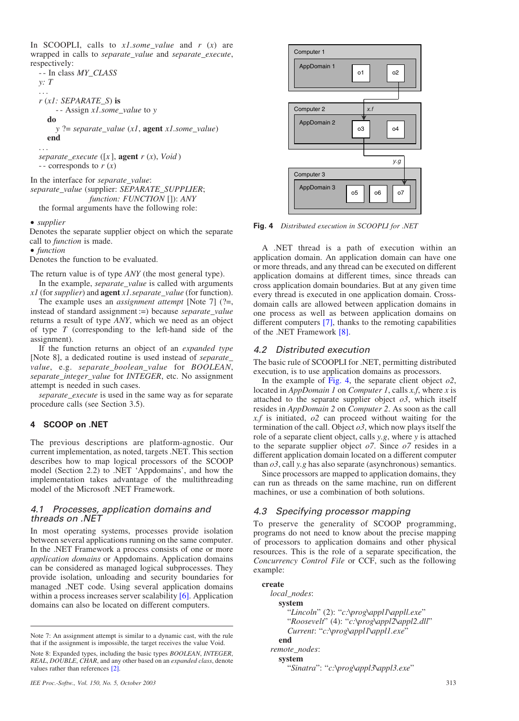In SCOOPLI, calls to  $x \textit{l}$  some\_value and  $r(x)$  are wrapped in calls to *separate* value and *separate* execute, respectively:

-- In class MY\_CLASS y: T ...  $r(x)$ : SEPARATE S) is  $-$ - Assign xl.some\_value to y do  $y$  ?= separate\_value  $(xl,$  **agent**  $xl$ .some\_value) end ... separate\_execute ([x],  $agent r(x)$ ,  $Void$ ) -- corresponds to  $r(x)$ 

In the interface for separate value: separate\_value (supplier: SEPARATE\_SUPPLIER; function: FUNCTION []): ANY

the formal arguments have the following role:

 $\bullet$  supplier

Denotes the separate supplier object on which the separate call to function is made.

• function

Denotes the function to be evaluated.

The return value is of type *ANY* (the most general type). In the example, *separate\_value* is called with arguments

 $x1$  (for supplier) and **agent** x1.separate\_value (for function).

The example uses an *assignment attempt* [Note 7]  $(?) =$ , instead of standard assignment :=) because separate\_value returns a result of type ANY, which we need as an object of type  $T$  (corresponding to the left-hand side of the assignment).

If the function returns an object of an expanded type [Note 8], a dedicated routine is used instead of separate\_ value, e.g. separate\_boolean\_value for BOOLEAN, separate\_integer\_value for INTEGER, etc. No assignment attempt is needed in such cases.

separate\_execute is used in the same way as for separate procedure calls (see Section 3.5).

## 4 SCOOP on .NET

The previous descriptions are platform-agnostic. Our current implementation, as noted, targets .NET. This section describes how to map logical processors of the SCOOP model (Section 2.2) to .NET 'Appdomains', and how the implementation takes advantage of the multithreading model of the Microsoft .NET Framework.

#### 4.1 Processes, application domains and threads on .NET

In most operating systems, processes provide isolation between several applications running on the same computer. In the .NET Framework a process consists of one or more application domains or Appdomains. Application domains can be considered as managed logical subprocesses. They provide isolation, unloading and security boundaries for managed .NET code. Using several application domains within a process increases server scalability [\[6\].](#page-6-0) Application domains can also be located on different computers.

values rather than references [\[2\]](#page-6-0).



Fig. 4 Distributed execution in SCOOPLI for .NET

A .NET thread is a path of execution within an application domain. An application domain can have one or more threads, and any thread can be executed on different application domains at different times, since threads can cross application domain boundaries. But at any given time every thread is executed in one application domain. Crossdomain calls are allowed between application domains in one process as well as between application domains on different computers [\[7\]](#page-6-0), thanks to the remoting capabilities of the .NET Framework [\[8\]](#page-6-0).

## 4.2 Distributed execution

The basic rule of SCOOPLI for .NET, permitting distributed execution, is to use application domains as processors.

In the example of Fig. 4, the separate client object  $o2$ , located in *AppDomain 1* on *Computer 1*, calls  $x.f$ , where  $x$  is attached to the separate supplier object  $\sigma_3$ , which itself resides in AppDomain 2 on Computer 2. As soon as the call  $x.f$  is initiated,  $o2$  can proceed without waiting for the termination of the call. Object  $\sigma$ 3, which now plays itself the role of a separate client object, calls y.g, where y is attached to the separate supplier object  $\sigma$ 7. Since  $\sigma$ 7 resides in a different application domain located on a different computer than  $o3$ , call y.g has also separate (asynchronous) semantics.

Since processors are mapped to application domains, they can run as threads on the same machine, run on different machines, or use a combination of both solutions.

## 4.3 Specifying processor mapping

To preserve the generality of SCOOP programming, programs do not need to know about the precise mapping of processors to application domains and other physical resources. This is the role of a separate specification, the Concurrency Control File or CCF, such as the following example:

```
create
  local nodes:
    system
       "Lincoln" (2): "c:\prog\appl1\appll.exe"
       "Roosevelt" (4): "c:\prog\appl2\appl2.dll"
       Current: "c:\prog\appl1\appl1.exe"
    end
  remote_nodes:
    system
       "Sinatra": "c:\prog\appl3\appl3.exe"
```
Note 7: An assignment attempt is similar to a dynamic cast, with the rule that if the assignment is impossible, the target receives the value Void. Note 8: Expanded types, including the basic types BOOLEAN, INTEGER, REAL, DOUBLE, CHAR, and any other based on an expanded class, denote